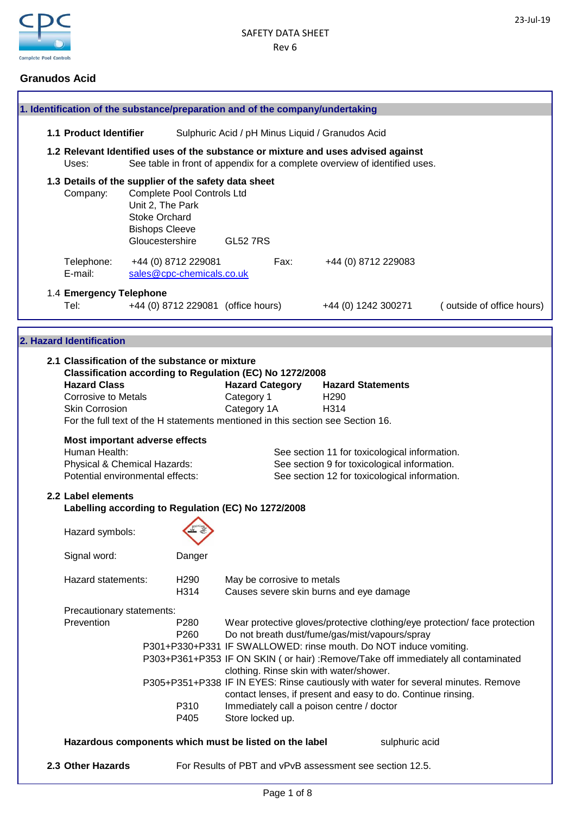

# **Granudos Acid**

|  | 1. Identification of the substance/preparation and of the company/undertaking                                                                                                                                                                                               |                                                                                      |                                                      |                                                     |                            |                                                                                                                                                                                                                                                                             |                |                                                                                                                                                                                                                                                        |
|--|-----------------------------------------------------------------------------------------------------------------------------------------------------------------------------------------------------------------------------------------------------------------------------|--------------------------------------------------------------------------------------|------------------------------------------------------|-----------------------------------------------------|----------------------------|-----------------------------------------------------------------------------------------------------------------------------------------------------------------------------------------------------------------------------------------------------------------------------|----------------|--------------------------------------------------------------------------------------------------------------------------------------------------------------------------------------------------------------------------------------------------------|
|  | 1.1 Product Identifier                                                                                                                                                                                                                                                      |                                                                                      |                                                      |                                                     |                            | Sulphuric Acid / pH Minus Liquid / Granudos Acid                                                                                                                                                                                                                            |                |                                                                                                                                                                                                                                                        |
|  | 1.2 Relevant Identified uses of the substance or mixture and uses advised against<br>Uses:                                                                                                                                                                                  |                                                                                      |                                                      |                                                     |                            | See table in front of appendix for a complete overview of identified uses.                                                                                                                                                                                                  |                |                                                                                                                                                                                                                                                        |
|  | 1.3 Details of the supplier of the safety data sheet<br>Company:                                                                                                                                                                                                            | Unit 2, The Park<br><b>Stoke Orchard</b><br><b>Bishops Cleeve</b><br>Gloucestershire | Complete Pool Controls Ltd                           | <b>GL52 7RS</b>                                     |                            |                                                                                                                                                                                                                                                                             |                |                                                                                                                                                                                                                                                        |
|  | Telephone:<br>E-mail:                                                                                                                                                                                                                                                       |                                                                                      | +44 (0) 8712 229081<br>sales@cpc-chemicals.co.uk     |                                                     | Fax:                       | +44 (0) 8712 229083                                                                                                                                                                                                                                                         |                |                                                                                                                                                                                                                                                        |
|  | 1.4 Emergency Telephone<br>Tel:                                                                                                                                                                                                                                             |                                                                                      | +44 (0) 8712 229081 (office hours)                   |                                                     |                            | +44 (0) 1242 300271                                                                                                                                                                                                                                                         |                | (outside of office hours)                                                                                                                                                                                                                              |
|  |                                                                                                                                                                                                                                                                             |                                                                                      |                                                      |                                                     |                            |                                                                                                                                                                                                                                                                             |                |                                                                                                                                                                                                                                                        |
|  | 2. Hazard Identification                                                                                                                                                                                                                                                    |                                                                                      |                                                      |                                                     |                            |                                                                                                                                                                                                                                                                             |                |                                                                                                                                                                                                                                                        |
|  | 2.1 Classification of the substance or mixture<br>Classification according to Regulation (EC) No 1272/2008<br><b>Hazard Class</b><br><b>Corrosive to Metals</b><br><b>Skin Corrosion</b><br>For the full text of the H statements mentioned in this section see Section 16. |                                                                                      |                                                      | <b>Hazard Category</b><br>Category 1<br>Category 1A |                            | <b>Hazard Statements</b><br>H <sub>290</sub><br>H314                                                                                                                                                                                                                        |                |                                                                                                                                                                                                                                                        |
|  | Most important adverse effects<br>Human Health:<br>Physical & Chemical Hazards:<br>Potential environmental effects:                                                                                                                                                         |                                                                                      |                                                      |                                                     |                            | See section 11 for toxicological information.<br>See section 9 for toxicological information.<br>See section 12 for toxicological information.                                                                                                                              |                |                                                                                                                                                                                                                                                        |
|  | 2.2 Label elements<br>Labelling according to Regulation (EC) No 1272/2008                                                                                                                                                                                                   |                                                                                      |                                                      |                                                     |                            |                                                                                                                                                                                                                                                                             |                |                                                                                                                                                                                                                                                        |
|  | Hazard symbols:                                                                                                                                                                                                                                                             |                                                                                      |                                                      |                                                     |                            |                                                                                                                                                                                                                                                                             |                |                                                                                                                                                                                                                                                        |
|  | Signal word:                                                                                                                                                                                                                                                                |                                                                                      | Danger                                               |                                                     |                            |                                                                                                                                                                                                                                                                             |                |                                                                                                                                                                                                                                                        |
|  | Hazard statements:                                                                                                                                                                                                                                                          |                                                                                      | H <sub>290</sub><br>H314                             |                                                     | May be corrosive to metals | Causes severe skin burns and eye damage                                                                                                                                                                                                                                     |                |                                                                                                                                                                                                                                                        |
|  | Precautionary statements:<br>Prevention                                                                                                                                                                                                                                     |                                                                                      | P <sub>280</sub><br>P <sub>260</sub><br>P310<br>P405 | Store locked up.                                    |                            | Do not breath dust/fume/gas/mist/vapours/spray<br>P301+P330+P331 IF SWALLOWED: rinse mouth. Do NOT induce vomiting.<br>clothing. Rinse skin with water/shower.<br>contact lenses, if present and easy to do. Continue rinsing.<br>Immediately call a poison centre / doctor |                | Wear protective gloves/protective clothing/eye protection/ face protection<br>P303+P361+P353 IF ON SKIN ( or hair) :Remove/Take off immediately all contaminated<br>P305+P351+P338 IF IN EYES: Rinse cautiously with water for several minutes. Remove |
|  | Hazardous components which must be listed on the label                                                                                                                                                                                                                      |                                                                                      |                                                      |                                                     |                            |                                                                                                                                                                                                                                                                             | sulphuric acid |                                                                                                                                                                                                                                                        |

**2.3 Other Hazards** For Results of PBT and vPvB assessment see section 12.5.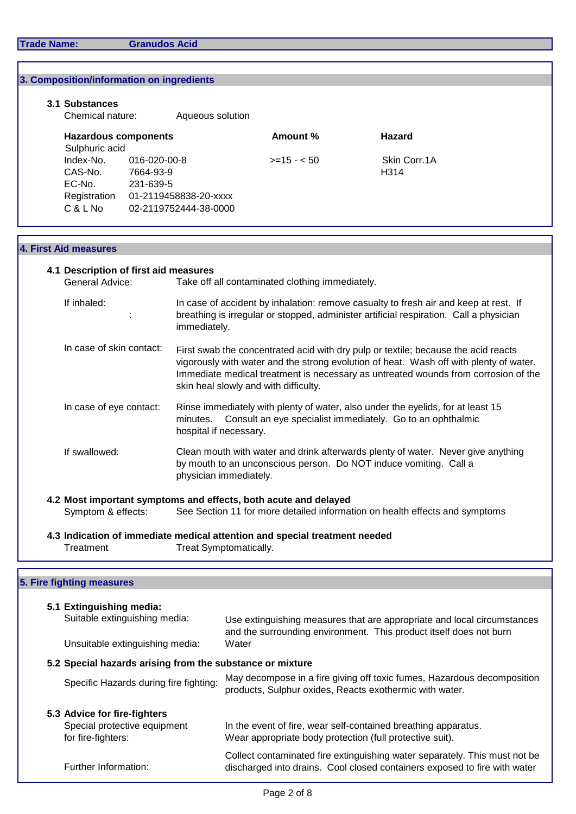**Trade Name: Granudos Acid**

|  | 3. Composition/information on ingredients                                                          |           |                                                                                                                                                                              |                                                                                 |                                                                                        |  |  |  |  |
|--|----------------------------------------------------------------------------------------------------|-----------|------------------------------------------------------------------------------------------------------------------------------------------------------------------------------|---------------------------------------------------------------------------------|----------------------------------------------------------------------------------------|--|--|--|--|
|  |                                                                                                    |           |                                                                                                                                                                              |                                                                                 |                                                                                        |  |  |  |  |
|  | 3.1 Substances<br>Chemical nature:                                                                 |           | Aqueous solution                                                                                                                                                             |                                                                                 |                                                                                        |  |  |  |  |
|  |                                                                                                    |           |                                                                                                                                                                              |                                                                                 |                                                                                        |  |  |  |  |
|  | <b>Hazardous components</b><br>Sulphuric acid<br>Index-No.<br>016-020-00-8<br>CAS-No.<br>7664-93-9 |           |                                                                                                                                                                              | Amount %                                                                        | <b>Hazard</b>                                                                          |  |  |  |  |
|  |                                                                                                    |           |                                                                                                                                                                              | $>=15 - 50$                                                                     | Skin Corr.1A                                                                           |  |  |  |  |
|  |                                                                                                    |           |                                                                                                                                                                              |                                                                                 | H314                                                                                   |  |  |  |  |
|  | EC-No.<br>Registration                                                                             | 231-639-5 | 01-2119458838-20-xxxx                                                                                                                                                        |                                                                                 |                                                                                        |  |  |  |  |
|  | C & L No                                                                                           |           | 02-2119752444-38-0000                                                                                                                                                        |                                                                                 |                                                                                        |  |  |  |  |
|  |                                                                                                    |           |                                                                                                                                                                              |                                                                                 |                                                                                        |  |  |  |  |
|  | <b>4. First Aid measures</b>                                                                       |           |                                                                                                                                                                              |                                                                                 |                                                                                        |  |  |  |  |
|  |                                                                                                    |           |                                                                                                                                                                              |                                                                                 |                                                                                        |  |  |  |  |
|  | 4.1 Description of first aid measures<br>General Advice:                                           |           |                                                                                                                                                                              | Take off all contaminated clothing immediately.                                 |                                                                                        |  |  |  |  |
|  | If inhaled:                                                                                        |           |                                                                                                                                                                              |                                                                                 | In case of accident by inhalation: remove casualty to fresh air and keep at rest. If   |  |  |  |  |
|  |                                                                                                    |           |                                                                                                                                                                              |                                                                                 | breathing is irregular or stopped, administer artificial respiration. Call a physician |  |  |  |  |
|  |                                                                                                    |           |                                                                                                                                                                              | immediately.                                                                    |                                                                                        |  |  |  |  |
|  | In case of skin contact:                                                                           |           | First swab the concentrated acid with dry pulp or textile; because the acid reacts                                                                                           |                                                                                 |                                                                                        |  |  |  |  |
|  |                                                                                                    |           | vigorously with water and the strong evolution of heat. Wash off with plenty of water.<br>Immediate medical treatment is necessary as untreated wounds from corrosion of the |                                                                                 |                                                                                        |  |  |  |  |
|  |                                                                                                    |           |                                                                                                                                                                              | skin heal slowly and with difficulty.                                           |                                                                                        |  |  |  |  |
|  | In case of eye contact:                                                                            |           |                                                                                                                                                                              | Rinse immediately with plenty of water, also under the eyelids, for at least 15 |                                                                                        |  |  |  |  |
|  |                                                                                                    |           | minutes.                                                                                                                                                                     |                                                                                 | Consult an eye specialist immediately. Go to an ophthalmic                             |  |  |  |  |
|  |                                                                                                    |           |                                                                                                                                                                              | hospital if necessary.                                                          |                                                                                        |  |  |  |  |
|  | If swallowed:                                                                                      |           |                                                                                                                                                                              |                                                                                 | Clean mouth with water and drink afterwards plenty of water. Never give anything       |  |  |  |  |
|  |                                                                                                    |           |                                                                                                                                                                              |                                                                                 | by mouth to an unconscious person. Do NOT induce vomiting. Call a                      |  |  |  |  |
|  |                                                                                                    |           |                                                                                                                                                                              | physician immediately.                                                          |                                                                                        |  |  |  |  |
|  |                                                                                                    |           |                                                                                                                                                                              | 4.2 Most important symptoms and effects, both acute and delayed                 |                                                                                        |  |  |  |  |
|  | Symptom & effects:                                                                                 |           |                                                                                                                                                                              |                                                                                 | See Section 11 for more detailed information on health effects and symptoms            |  |  |  |  |
|  |                                                                                                    |           |                                                                                                                                                                              | 4.3 Indication of immediate medical attention and special treatment needed      |                                                                                        |  |  |  |  |
|  | Treatment                                                                                          |           |                                                                                                                                                                              | Treat Symptomatically.                                                          |                                                                                        |  |  |  |  |
|  |                                                                                                    |           |                                                                                                                                                                              |                                                                                 |                                                                                        |  |  |  |  |
|  | 5. Fire fighting measures                                                                          |           |                                                                                                                                                                              |                                                                                 |                                                                                        |  |  |  |  |
|  | 5.1 Extinguishing media:                                                                           |           |                                                                                                                                                                              |                                                                                 |                                                                                        |  |  |  |  |
|  | Suitable extinguishing media:                                                                      |           |                                                                                                                                                                              |                                                                                 | Use extinguishing measures that are appropriate and local circumstances                |  |  |  |  |
|  |                                                                                                    |           |                                                                                                                                                                              |                                                                                 | and the surrounding environment. This product itself does not burn                     |  |  |  |  |
|  | Unsuitable extinguishing media:                                                                    |           |                                                                                                                                                                              | Water                                                                           |                                                                                        |  |  |  |  |
|  |                                                                                                    |           |                                                                                                                                                                              | 5.2 Special hazards arising from the substance or mixture                       |                                                                                        |  |  |  |  |
|  | Specific Hazards during fire fighting:                                                             |           |                                                                                                                                                                              | products, Sulphur oxides, Reacts exothermic with water.                         | May decompose in a fire giving off toxic fumes, Hazardous decomposition                |  |  |  |  |
|  |                                                                                                    |           |                                                                                                                                                                              |                                                                                 |                                                                                        |  |  |  |  |
|  | 5.3 Advice for fire-fighters<br>Special protective equipment                                       |           |                                                                                                                                                                              |                                                                                 | In the event of fire, wear self-contained breathing apparatus.                         |  |  |  |  |
|  | for fire-fighters:                                                                                 |           |                                                                                                                                                                              | Wear appropriate body protection (full protective suit).                        |                                                                                        |  |  |  |  |

Collect contaminated fire extinguishing water separately. This must not be discharged into drains. Cool closed containers exposed to fire with water

Further Information: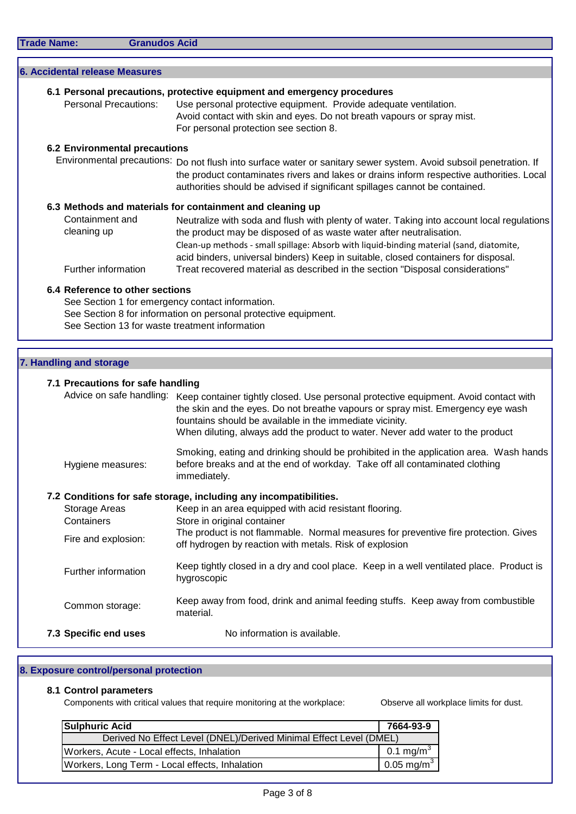| <b>Trade Name:</b> |  |  |  |  |  |  |
|--------------------|--|--|--|--|--|--|
|--------------------|--|--|--|--|--|--|

**Granudos Acid** 

|                         | <b>6. Accidental release Measures</b> |                                                                                                                                                                                                                                                                                                                                                     |
|-------------------------|---------------------------------------|-----------------------------------------------------------------------------------------------------------------------------------------------------------------------------------------------------------------------------------------------------------------------------------------------------------------------------------------------------|
|                         |                                       | 6.1 Personal precautions, protective equipment and emergency procedures                                                                                                                                                                                                                                                                             |
|                         | <b>Personal Precautions:</b>          | Use personal protective equipment. Provide adequate ventilation.<br>Avoid contact with skin and eyes. Do not breath vapours or spray mist.<br>For personal protection see section 8.                                                                                                                                                                |
|                         | <b>6.2 Environmental precautions</b>  |                                                                                                                                                                                                                                                                                                                                                     |
|                         |                                       | Environmental precautions: Do not flush into surface water or sanitary sewer system. Avoid subsoil penetration. If<br>the product contaminates rivers and lakes or drains inform respective authorities. Local<br>authorities should be advised if significant spillages cannot be contained.                                                       |
|                         |                                       | 6.3 Methods and materials for containment and cleaning up                                                                                                                                                                                                                                                                                           |
|                         | Containment and<br>cleaning up        | Neutralize with soda and flush with plenty of water. Taking into account local regulations<br>the product may be disposed of as waste water after neutralisation.<br>Clean-up methods - small spillage: Absorb with liquid-binding material (sand, diatomite,<br>acid binders, universal binders) Keep in suitable, closed containers for disposal. |
|                         | Further information                   | Treat recovered material as described in the section "Disposal considerations"                                                                                                                                                                                                                                                                      |
|                         | 6.4 Reference to other sections       | See Section 1 for emergency contact information.<br>See Section 8 for information on personal protective equipment.<br>See Section 13 for waste treatment information                                                                                                                                                                               |
|                         |                                       |                                                                                                                                                                                                                                                                                                                                                     |
| 7. Handling and storage |                                       |                                                                                                                                                                                                                                                                                                                                                     |
|                         | 7.1 Precautions for safe handling     |                                                                                                                                                                                                                                                                                                                                                     |
|                         |                                       | Advice on safe handling: Keep container tightly closed. Use personal protective equipment. Avoid contact with<br>the skin and the eyes. Do not breathe vapours or spray mist. Emergency eye wash<br>fountains should be available in the immediate vicinity.<br>When diluting, always add the product to water. Never add water to the product      |
|                         | Hygiene measures:                     | Smoking, eating and drinking should be prohibited in the application area. Wash hands<br>before breaks and at the end of workday. Take off all contaminated clothing<br>immediately.                                                                                                                                                                |
|                         |                                       | 7.2 Conditions for safe storage, including any incompatibilities.                                                                                                                                                                                                                                                                                   |
| Containers              | Storage Areas                         | Keep in an area equipped with acid resistant flooring.<br>Store in original container                                                                                                                                                                                                                                                               |

| Fire and explosion: | The product is not flammable. Normal measures for preventive fire protection. Gives<br>off hydrogen by reaction with metals. Risk of explosion |  |  |  |
|---------------------|------------------------------------------------------------------------------------------------------------------------------------------------|--|--|--|
| Further information | Keep tightly closed in a dry and cool place. Keep in a well ventilated place. Product is<br>hygroscopic                                        |  |  |  |
| Common storage:     | Keep away from food, drink and animal feeding stuffs. Keep away from combustible                                                               |  |  |  |

Common storage:

**7.3 Specific end uses** No information is available.

# **8. Exposure control/personal protection**

## **8.1 Control parameters**

Components with critical values that require monitoring at the workplace: Observe all workplace limits for dust.

material.

| <b>Sulphuric Acid</b>                                              | 7664-93-9              |
|--------------------------------------------------------------------|------------------------|
| Derived No Effect Level (DNEL)/Derived Minimal Effect Level (DMEL) |                        |
| Workers, Acute - Local effects, Inhalation                         | 0.1 mg/m $^{3}$        |
| Workers, Long Term - Local effects, Inhalation                     | 0.05 mg/m <sup>3</sup> |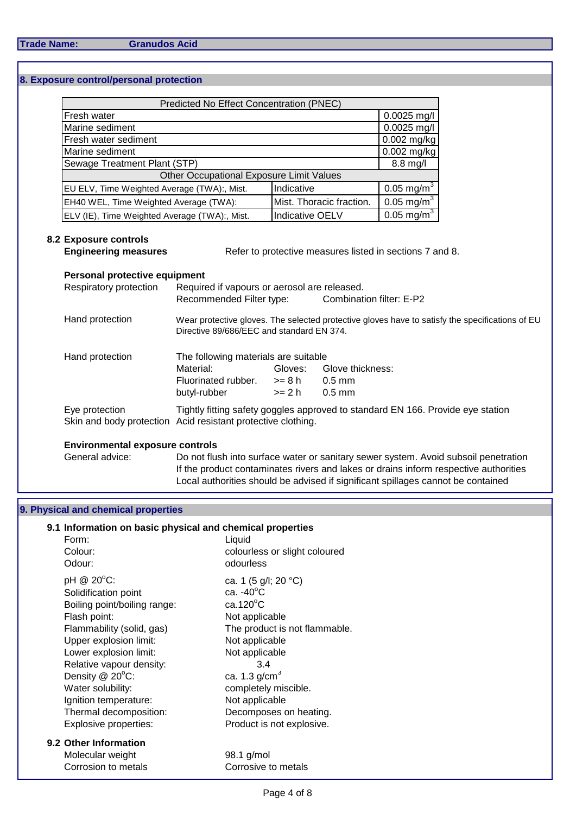## **8. Exposure control/personal protection**

| <b>Predicted No Effect Concentration (PNEC)</b> |                        |                       |  |  |  |  |
|-------------------------------------------------|------------------------|-----------------------|--|--|--|--|
| Fresh water                                     |                        | $0.0025$ mg/l         |  |  |  |  |
| Marine sediment                                 |                        | $0.0025$ mg/l         |  |  |  |  |
| Fresh water sediment                            | $0.002$ mg/kg          |                       |  |  |  |  |
| Marine sediment                                 | $0.002$ mg/kg          |                       |  |  |  |  |
| Sewage Treatment Plant (STP)                    | 8.8 mg/l               |                       |  |  |  |  |
| Other Occupational Exposure Limit Values        |                        |                       |  |  |  |  |
| EU ELV, Time Weighted Average (TWA):, Mist.     | Indicative             | $0.05 \text{ mg/m}^3$ |  |  |  |  |
| EH40 WEL, Time Weighted Average (TWA):          | 0.05 mg/m $^{3}$       |                       |  |  |  |  |
| ELV (IE), Time Weighted Average (TWA):, Mist.   | <b>Indicative OELV</b> | $0.05 \text{ mg/m}^3$ |  |  |  |  |

## **8.2 Exposure controls**

**Engineering measures** Refer to protective measures listed in sections 7 and 8.

## **Personal protective equipment**

| Respiratory protection                                                         | Required if vapours or aerosol are released.<br>Recommended Filter type: |          | Combination filter: E-P2                                                                        |  |  |  |
|--------------------------------------------------------------------------------|--------------------------------------------------------------------------|----------|-------------------------------------------------------------------------------------------------|--|--|--|
| Hand protection                                                                | Directive 89/686/EEC and standard EN 374.                                |          | Wear protective gloves. The selected protective gloves have to satisfy the specifications of EU |  |  |  |
| Hand protection                                                                | The following materials are suitable                                     |          |                                                                                                 |  |  |  |
|                                                                                | Material:                                                                | Gloves:  | Glove thickness:                                                                                |  |  |  |
|                                                                                | Fluorinated rubber.                                                      | >= 8 h   | $0.5$ mm                                                                                        |  |  |  |
|                                                                                | butyl-rubber                                                             | $>= 2 h$ | $0.5$ mm                                                                                        |  |  |  |
| Eye protection<br>Skin and body protection Acid resistant protective clothing. |                                                                          |          | Tightly fitting safety goggles approved to standard EN 166. Provide eye station                 |  |  |  |

## **Environmental exposure controls**

General advice: Do not flush into surface water or sanitary sewer system. Avoid subsoil penetration If the product contaminates rivers and lakes or drains inform respective authorities Local authorities should be advised if significant spillages cannot be contained

## **9. Physical and chemical properties**

# **9.1 Information on basic physical and chemical properties**

| Form:<br>Colour:<br>Odour:                                                                                                                                                                                                                                                                                                | Liquid<br>colourless or slight coloured<br>odourless                                                                                                                                                                                                                                |
|---------------------------------------------------------------------------------------------------------------------------------------------------------------------------------------------------------------------------------------------------------------------------------------------------------------------------|-------------------------------------------------------------------------------------------------------------------------------------------------------------------------------------------------------------------------------------------------------------------------------------|
| pH @ 20°C:<br>Solidification point<br>Boiling point/boiling range:<br>Flash point:<br>Flammability (solid, gas)<br>Upper explosion limit:<br>Lower explosion limit:<br>Relative vapour density:<br>Density $@$ 20 $°C$ :<br>Water solubility:<br>Ignition temperature:<br>Thermal decomposition:<br>Explosive properties: | ca. 1 (5 g/l; 20 °C)<br>ca. $-40^{\circ}$ C<br>$ca.120^{\circ}$ C<br>Not applicable<br>The product is not flammable.<br>Not applicable<br>Not applicable<br>3.4<br>ca. 1.3 $g/cm3$<br>completely miscible.<br>Not applicable<br>Decomposes on heating.<br>Product is not explosive. |
| 9.2 Other Information<br>Molecular weight<br>Corrosion to metals                                                                                                                                                                                                                                                          | 98.1 g/mol<br>Corrosive to metals                                                                                                                                                                                                                                                   |
|                                                                                                                                                                                                                                                                                                                           |                                                                                                                                                                                                                                                                                     |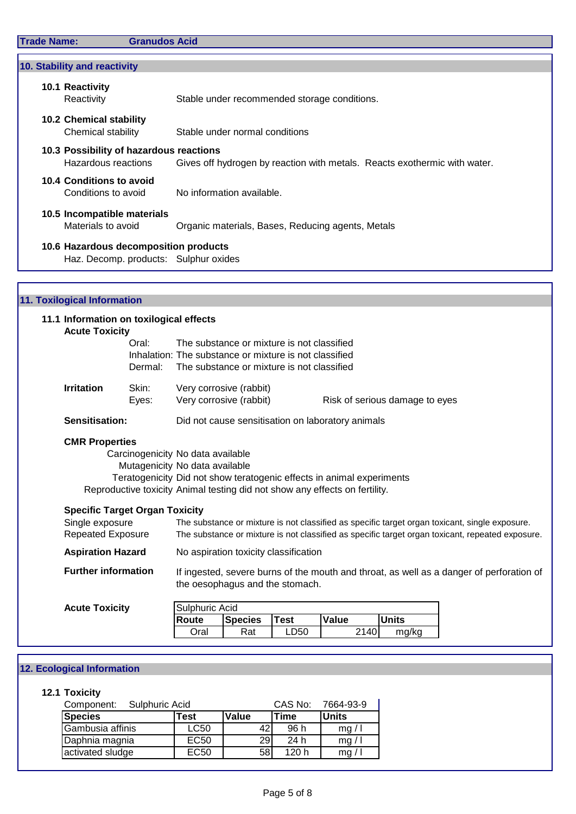| 10.1 Reactivity<br>Reactivity           | Stable under recommended storage conditions.                              |
|-----------------------------------------|---------------------------------------------------------------------------|
|                                         |                                                                           |
| <b>10.2 Chemical stability</b>          |                                                                           |
| Chemical stability                      | Stable under normal conditions                                            |
| 10.3 Possibility of hazardous reactions |                                                                           |
| Hazardous reactions                     | Gives off hydrogen by reaction with metals. Reacts exothermic with water. |
| 10.4 Conditions to avoid                |                                                                           |
| Conditions to avoid                     | No information available.                                                 |
| 10.5 Incompatible materials             |                                                                           |
| Materials to avoid                      | Organic materials, Bases, Reducing agents, Metals                         |
| 10.6 Hazardous decomposition products   |                                                                           |
| Haz. Decomp. products: Sulphur oxides   |                                                                           |

| 11.1 Information on toxilogical effects<br><b>Acute Toxicity</b> |         |                                                                                                                             |                                |  |
|------------------------------------------------------------------|---------|-----------------------------------------------------------------------------------------------------------------------------|--------------------------------|--|
|                                                                  | Oral:   | The substance or mixture is not classified                                                                                  |                                |  |
|                                                                  |         | Inhalation: The substance or mixture is not classified                                                                      |                                |  |
|                                                                  | Dermal: | The substance or mixture is not classified                                                                                  |                                |  |
| <b>Irritation</b>                                                | Skin:   | Very corrosive (rabbit)                                                                                                     |                                |  |
|                                                                  | Eyes:   | Very corrosive (rabbit)                                                                                                     | Risk of serious damage to eyes |  |
| Sensitisation:                                                   |         | Did not cause sensitisation on laboratory animals                                                                           |                                |  |
| <b>CMR Properties</b>                                            |         |                                                                                                                             |                                |  |
|                                                                  |         | Carcinogenicity No data available                                                                                           |                                |  |
|                                                                  |         | Mutagenicity No data available                                                                                              |                                |  |
|                                                                  |         | Teratogenicity Did not show teratogenic effects in animal experiments                                                       |                                |  |
|                                                                  |         | Reproductive toxicity Animal testing did not show any effects on fertility.                                                 |                                |  |
| <b>Specific Target Organ Toxicity</b>                            |         |                                                                                                                             |                                |  |
| Single exposure                                                  |         | The substance or mixture is not classified as specific target organ toxicant, single exposure.                              |                                |  |
| <b>Repeated Exposure</b>                                         |         | The substance or mixture is not classified as specific target organ toxicant, repeated exposure.                            |                                |  |
| <b>Aspiration Hazard</b>                                         |         | No aspiration toxicity classification                                                                                       |                                |  |
| <b>Further information</b>                                       |         | If ingested, severe burns of the mouth and throat, as well as a danger of perforation of<br>the oesophagus and the stomach. |                                |  |
| <b>Acute Toxicity</b>                                            |         | Sulphuric Acid                                                                                                              |                                |  |

| <b>Route</b> | <b>Species</b> | <b>Test</b>             | 'Value | <b>Units</b> |
|--------------|----------------|-------------------------|--------|--------------|
| Oral         | Rat            | LD50                    |        | mg/kg        |
|              |                | <b>I</b> Sulphuric Acid |        | 2140         |

# **12. Ecological Information**

## **12.1 Toxicity**

| Sulphuric Acid<br>Component: | CAS No:          | 7664-93-9 |             |              |
|------------------------------|------------------|-----------|-------------|--------------|
| <b>Species</b>               | <b>Test</b>      | Value     | <b>Time</b> | <b>Units</b> |
| Gambusia affinis             | <b>LC50</b>      | 42        | 96 h        | mg/1         |
| Daphnia magnia               | EC <sub>50</sub> | 29        | 24 h        | mg/1         |
| activated sludge             | <b>EC50</b>      | 58        | 120h        | mg/          |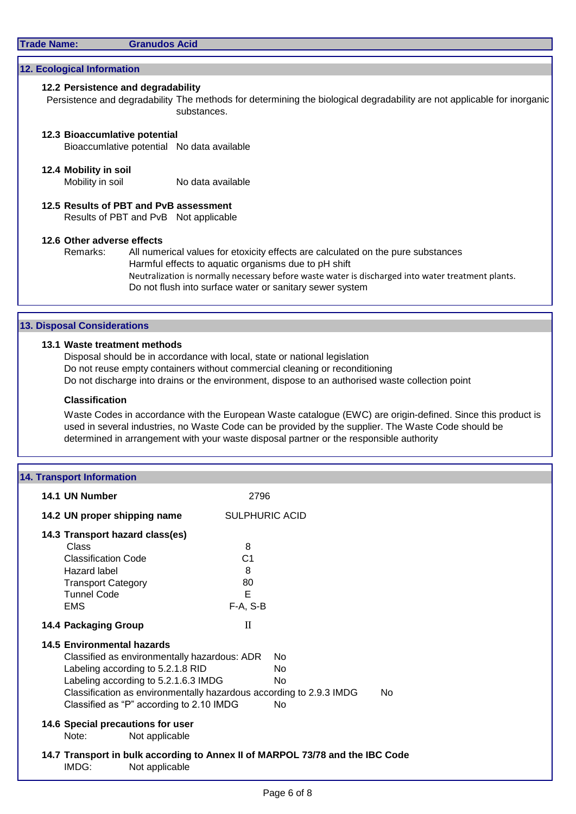| Trade Name: |  |  |
|-------------|--|--|
|             |  |  |

#### **Granudos Acid**

## **12. Ecological Information**

## **12.2 Persistence and degradability**

Persistence and degradability The methods for determining the biological degradability are not applicable for inorganic substances.

# **12.3 Bioaccumlative potential**

Bioaccumlative potential No data available

#### **12.4 Mobility in soil**

Mobility in soil No data available

**12.5 Results of PBT and PvB assessment** Results of PBT and PvB Not applicable

## **12.6 Other adverse effects**

Remarks: All numerical values for etoxicity effects are calculated on the pure substances Harmful effects to aquatic organisms due to pH shift Neutralization is normally necessary before waste water is discharged into water treatment plants. Do not flush into surface water or sanitary sewer system

#### **13. Disposal Considerations**

#### **13.1 Waste treatment methods**

Disposal should be in accordance with local, state or national legislation Do not reuse empty containers without commercial cleaning or reconditioning Do not discharge into drains or the environment, dispose to an authorised waste collection point

#### **Classification**

Waste Codes in accordance with the European Waste catalogue (EWC) are origin-defined. Since this product is used in several industries, no Waste Code can be provided by the supplier. The Waste Code should be determined in arrangement with your waste disposal partner or the responsible authority

## **14. Transport Information**

| 14.1 UN Number                                                                                                                                                                                      | 2796                                                                                                |  |
|-----------------------------------------------------------------------------------------------------------------------------------------------------------------------------------------------------|-----------------------------------------------------------------------------------------------------|--|
| 14.2 UN proper shipping name                                                                                                                                                                        | <b>SULPHURIC ACID</b>                                                                               |  |
| 14.3 Transport hazard class(es)                                                                                                                                                                     |                                                                                                     |  |
| Class<br><b>Classification Code</b>                                                                                                                                                                 | 8<br>C <sub>1</sub>                                                                                 |  |
| Hazard label                                                                                                                                                                                        | 8                                                                                                   |  |
| <b>Transport Category</b>                                                                                                                                                                           | 80                                                                                                  |  |
| <b>Tunnel Code</b><br><b>EMS</b>                                                                                                                                                                    | E<br>F-A, S-B                                                                                       |  |
|                                                                                                                                                                                                     |                                                                                                     |  |
| 14.4 Packaging Group                                                                                                                                                                                | $\mathbf{I}$                                                                                        |  |
| 14.5 Environmental hazards<br>Classified as environmentally hazardous: ADR<br>Labeling according to 5.2.1.8 RID<br>Labeling according to 5.2.1.6.3 IMDG<br>Classified as "P" according to 2.10 IMDG | Nο<br>No<br>No.<br>Classification as environmentally hazardous according to 2.9.3 IMDG<br>No.<br>No |  |
| 14.6 Special precautions for user<br>Not applicable<br>Note:                                                                                                                                        |                                                                                                     |  |
| IMDG:<br>Not applicable                                                                                                                                                                             | 14.7 Transport in bulk according to Annex II of MARPOL 73/78 and the IBC Code                       |  |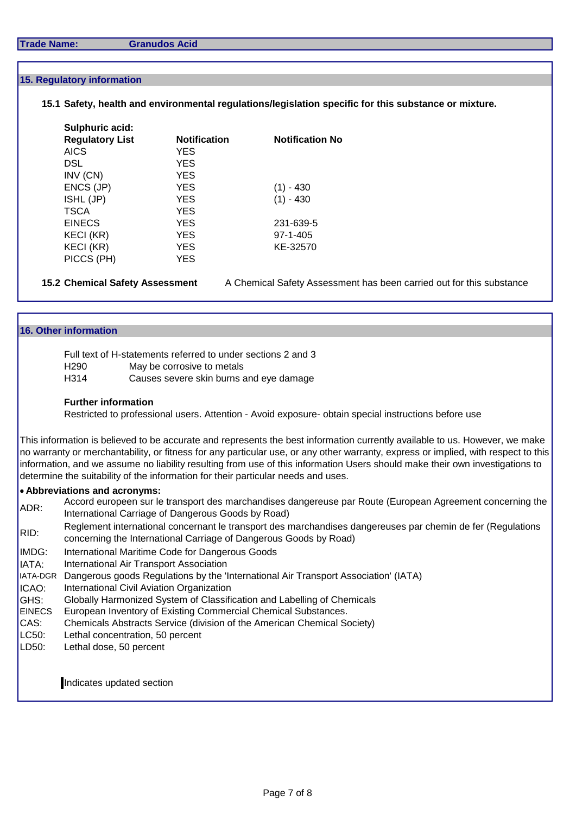#### **Trade Name: Granudos Acid**

#### **15. Regulatory information**

## **15.1 Safety, health and environmental regulations/legislation specific for this substance or mixture.**

| Sulphuric acid:        |                     |                        |
|------------------------|---------------------|------------------------|
| <b>Regulatory List</b> | <b>Notification</b> | <b>Notification No</b> |
| <b>AICS</b>            | <b>YES</b>          |                        |
| <b>DSL</b>             | <b>YES</b>          |                        |
| INV (CN)               | <b>YES</b>          |                        |
| ENCS (JP)              | <b>YES</b>          | (1) - 430              |
| ISHL (JP)              | <b>YES</b>          | $(1) - 430$            |
| <b>TSCA</b>            | <b>YES</b>          |                        |
| <b>EINECS</b>          | <b>YES</b>          | 231-639-5              |
| KECI (KR)              | <b>YES</b>          | $97 - 1 - 405$         |
| <b>KECI (KR)</b>       | <b>YES</b>          | KE-32570               |
| PICCS (PH)             | YES                 |                        |

**15.2 Chemical Safety Assessment** A Chemical Safety Assessment has been carried out for this substance

#### **16. Other information**

| Full text of H-statements referred to under sections 2 and 3 |                                         |  |  |
|--------------------------------------------------------------|-----------------------------------------|--|--|
| H290                                                         | May be corrosive to metals              |  |  |
| H314                                                         | Causes severe skin burns and eye damage |  |  |

#### **Further information**

Restricted to professional users. Attention - Avoid exposure- obtain special instructions before use

This information is believed to be accurate and represents the best information currently available to us. However, we make no warranty or merchantability, or fitness for any particular use, or any other warranty, express or implied, with respect to this information, and we assume no liability resulting from use of this information Users should make their own investigations to determine the suitability of the information for their particular needs and uses.

#### **Abbreviations and acronyms:**

- ADR: Accord europeen sur le transport des marchandises dangereuse par Route (European Agreement concerning the International Carriage of Dangerous Goods by Road)
- RID: Reglement international concernant le transport des marchandises dangereuses par chemin de fer (Regulations concerning the International Carriage of Dangerous Goods by Road)
- IMDG: International Maritime Code for Dangerous Goods
- IATA: International Air Transport Association
- IATA-DGR Dangerous goods Regulations by the 'International Air Transport Association' (IATA)
- ICAO: International Civil Aviation Organization
- GHS: Globally Harmonized System of Classification and Labelling of Chemicals
- **EINECS** European Inventory of Existing Commercial Chemical Substances.
- CAS: Chemicals Abstracts Service (division of the American Chemical Society)
- LC50: Lethal concentration, 50 percent
- LD50: Lethal dose, 50 percent

# Indicates updated section